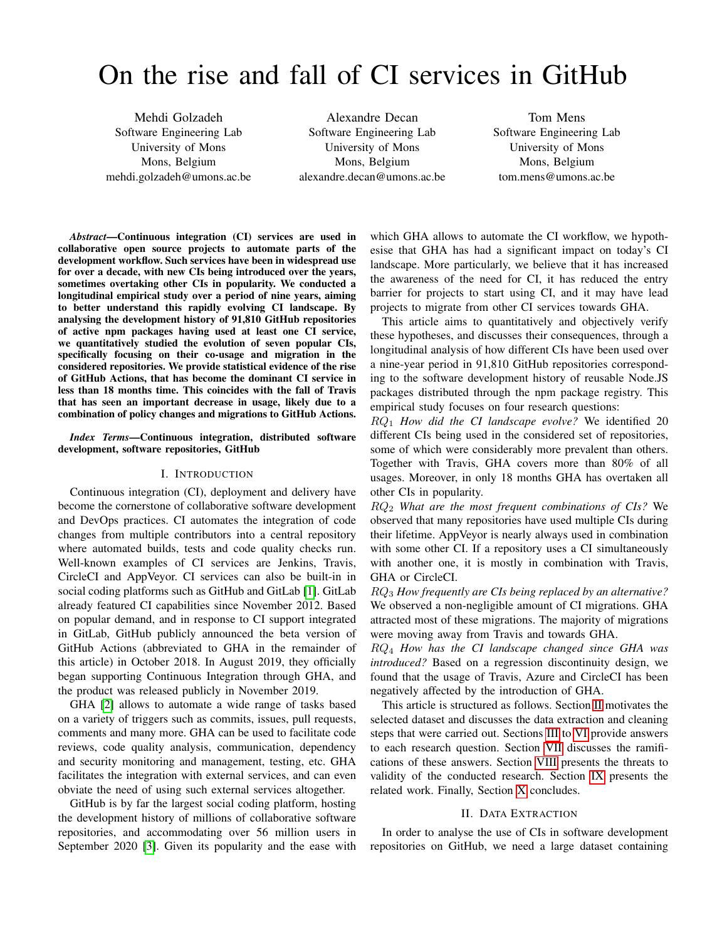# On the rise and fall of CI services in GitHub

Mehdi Golzadeh Software Engineering Lab University of Mons Mons, Belgium mehdi.golzadeh@umons.ac.be

Alexandre Decan Software Engineering Lab University of Mons Mons, Belgium alexandre.decan@umons.ac.be

Tom Mens Software Engineering Lab University of Mons Mons, Belgium tom.mens@umons.ac.be

*Abstract*—Continuous integration (CI) services are used in collaborative open source projects to automate parts of the development workflow. Such services have been in widespread use for over a decade, with new CIs being introduced over the years, sometimes overtaking other CIs in popularity. We conducted a longitudinal empirical study over a period of nine years, aiming to better understand this rapidly evolving CI landscape. By analysing the development history of 91,810 GitHub repositories of active npm packages having used at least one CI service, we quantitatively studied the evolution of seven popular CIs, specifically focusing on their co-usage and migration in the considered repositories. We provide statistical evidence of the rise of GitHub Actions, that has become the dominant CI service in less than 18 months time. This coincides with the fall of Travis that has seen an important decrease in usage, likely due to a combination of policy changes and migrations to GitHub Actions.

#### *Index Terms*—Continuous integration, distributed software development, software repositories, GitHub

#### I. INTRODUCTION

Continuous integration (CI), deployment and delivery have become the cornerstone of collaborative software development and DevOps practices. CI automates the integration of code changes from multiple contributors into a central repository where automated builds, tests and code quality checks run. Well-known examples of CI services are Jenkins, Travis, CircleCI and AppVeyor. CI services can also be built-in in social coding platforms such as GitHub and GitLab [\[1\]](#page-10-0). GitLab already featured CI capabilities since November 2012. Based on popular demand, and in response to CI support integrated in GitLab, GitHub publicly announced the beta version of GitHub Actions (abbreviated to GHA in the remainder of this article) in October 2018. In August 2019, they officially began supporting Continuous Integration through GHA, and the product was released publicly in November 2019.

GHA [\[2\]](#page-10-1) allows to automate a wide range of tasks based on a variety of triggers such as commits, issues, pull requests, comments and many more. GHA can be used to facilitate code reviews, code quality analysis, communication, dependency and security monitoring and management, testing, etc. GHA facilitates the integration with external services, and can even obviate the need of using such external services altogether.

GitHub is by far the largest social coding platform, hosting the development history of millions of collaborative software repositories, and accommodating over 56 million users in September 2020 [\[3\]](#page-10-2). Given its popularity and the ease with which GHA allows to automate the CI workflow, we hypothesise that GHA has had a significant impact on today's CI landscape. More particularly, we believe that it has increased the awareness of the need for CI, it has reduced the entry barrier for projects to start using CI, and it may have lead projects to migrate from other CI services towards GHA.

This article aims to quantitatively and objectively verify these hypotheses, and discusses their consequences, through a longitudinal analysis of how different CIs have been used over a nine-year period in 91,810 GitHub repositories corresponding to the software development history of reusable Node.JS packages distributed through the npm package registry. This empirical study focuses on four research questions:

RQ<sup>1</sup> *How did the CI landscape evolve?* We identified 20 different CIs being used in the considered set of repositories, some of which were considerably more prevalent than others. Together with Travis, GHA covers more than 80% of all usages. Moreover, in only 18 months GHA has overtaken all other CIs in popularity.

RQ<sup>2</sup> *What are the most frequent combinations of CIs?* We observed that many repositories have used multiple CIs during their lifetime. AppVeyor is nearly always used in combination with some other CI. If a repository uses a CI simultaneously with another one, it is mostly in combination with Travis, GHA or CircleCI.

RQ<sup>3</sup> *How frequently are CIs being replaced by an alternative?* We observed a non-negligible amount of CI migrations. GHA attracted most of these migrations. The majority of migrations were moving away from Travis and towards GHA.

RQ<sup>4</sup> *How has the CI landscape changed since GHA was introduced?* Based on a regression discontinuity design, we found that the usage of Travis, Azure and CircleCI has been negatively affected by the introduction of GHA.

This article is structured as follows. Section [II](#page-0-0) motivates the selected dataset and discusses the data extraction and cleaning steps that were carried out. Sections [III](#page-2-0) to [VI](#page-5-0) provide answers to each research question. Section [VII](#page-6-0) discusses the ramifications of these answers. Section [VIII](#page-8-0) presents the threats to validity of the conducted research. Section [IX](#page-8-1) presents the related work. Finally, Section [X](#page-9-0) concludes.

#### II. DATA EXTRACTION

<span id="page-0-0"></span>In order to analyse the use of CIs in software development repositories on GitHub, we need a large dataset containing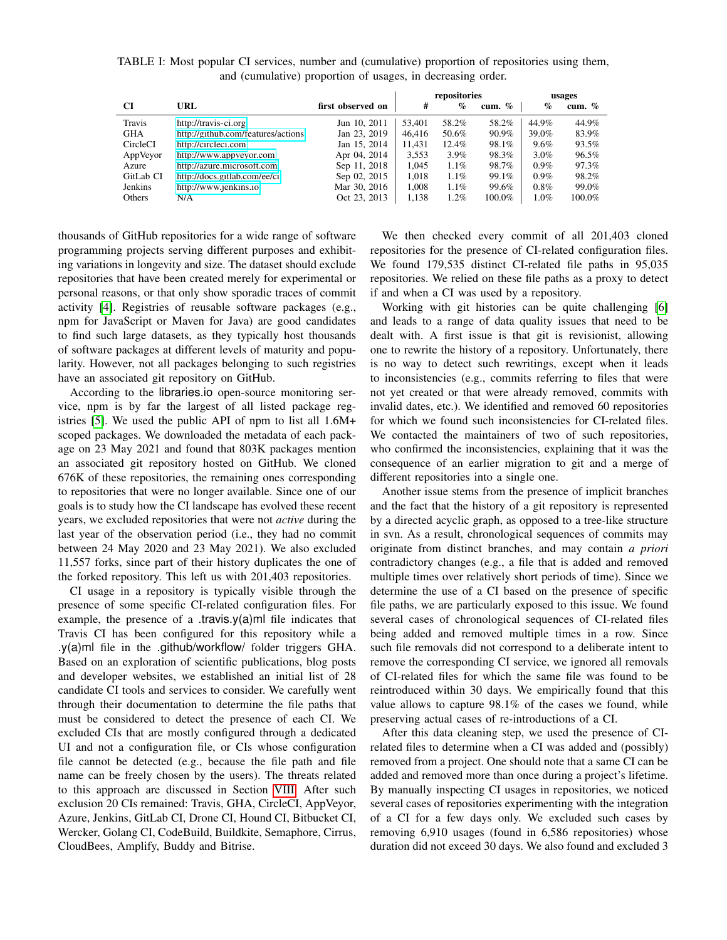|            |                                    |                   |        | repositories |          |         | usages   |
|------------|------------------------------------|-------------------|--------|--------------|----------|---------|----------|
| CI         | URL                                | first observed on | #      | $\%$         | cum. $%$ | $\%$    | cum. $%$ |
| Travis     | http://travis-ci.org               | Jun 10, 2011      | 53.401 | 58.2%        | 58.2%    | 44.9%   | 44.9%    |
| <b>GHA</b> | http://github.com/features/actions | Jan 23, 2019      | 46,416 | 50.6%        | 90.9%    | 39.0%   | 83.9%    |
| CircleCI   | http://circleci.com                | Jan 15, 2014      | 11,431 | 12.4%        | 98.1%    | $9.6\%$ | 93.5%    |
| AppVeyor   | http://www.appveyor.com            | Apr 04, 2014      | 3,553  | $3.9\%$      | 98.3%    | $3.0\%$ | 96.5%    |
| Azure      | http://azure.microsoft.com         | Sep 11, 2018      | 1.045  | 1.1%         | 98.7%    | $0.9\%$ | 97.3%    |
| GitLab CI  | http://docs.gitlab.com/ee/ci       | Sep 02, 2015      | 1,018  | 1.1%         | 99.1%    | $0.9\%$ | 98.2%    |
| Jenkins    | http://www.jenkins.io              | Mar 30, 2016      | 1.008  | 1.1%         | 99.6%    | $0.8\%$ | 99.0%    |
| Others     | N/A                                | Oct 23, 2013      | 1,138  | 1.2%         | 100.0%   | 1.0%    | 100.0%   |

<span id="page-1-0"></span>TABLE I: Most popular CI services, number and (cumulative) proportion of repositories using them, and (cumulative) proportion of usages, in decreasing order.

thousands of GitHub repositories for a wide range of software programming projects serving different purposes and exhibiting variations in longevity and size. The dataset should exclude repositories that have been created merely for experimental or personal reasons, or that only show sporadic traces of commit activity [\[4\]](#page-10-3). Registries of reusable software packages (e.g., npm for JavaScript or Maven for Java) are good candidates to find such large datasets, as they typically host thousands of software packages at different levels of maturity and popularity. However, not all packages belonging to such registries have an associated git repository on GitHub.

According to the libraries.io open-source monitoring service, npm is by far the largest of all listed package registries [\[5\]](#page-10-4). We used the public API of npm to list all 1.6M+ scoped packages. We downloaded the metadata of each package on 23 May 2021 and found that 803K packages mention an associated git repository hosted on GitHub. We cloned 676K of these repositories, the remaining ones corresponding to repositories that were no longer available. Since one of our goals is to study how the CI landscape has evolved these recent years, we excluded repositories that were not *active* during the last year of the observation period (i.e., they had no commit between 24 May 2020 and 23 May 2021). We also excluded 11,557 forks, since part of their history duplicates the one of the forked repository. This left us with 201,403 repositories.

CI usage in a repository is typically visible through the presence of some specific CI-related configuration files. For example, the presence of a .travis.y(a)ml file indicates that Travis CI has been configured for this repository while a .y(a)ml file in the .github/workflow/ folder triggers GHA. Based on an exploration of scientific publications, blog posts and developer websites, we established an initial list of 28 candidate CI tools and services to consider. We carefully went through their documentation to determine the file paths that must be considered to detect the presence of each CI. We excluded CIs that are mostly configured through a dedicated UI and not a configuration file, or CIs whose configuration file cannot be detected (e.g., because the file path and file name can be freely chosen by the users). The threats related to this approach are discussed in Section [VIII.](#page-8-0) After such exclusion 20 CIs remained: Travis, GHA, CircleCI, AppVeyor, Azure, Jenkins, GitLab CI, Drone CI, Hound CI, Bitbucket CI, Wercker, Golang CI, CodeBuild, Buildkite, Semaphore, Cirrus, CloudBees, Amplify, Buddy and Bitrise.

We then checked every commit of all 201,403 cloned repositories for the presence of CI-related configuration files. We found 179,535 distinct CI-related file paths in 95,035 repositories. We relied on these file paths as a proxy to detect if and when a CI was used by a repository.

Working with git histories can be quite challenging [\[6\]](#page-10-5) and leads to a range of data quality issues that need to be dealt with. A first issue is that git is revisionist, allowing one to rewrite the history of a repository. Unfortunately, there is no way to detect such rewritings, except when it leads to inconsistencies (e.g., commits referring to files that were not yet created or that were already removed, commits with invalid dates, etc.). We identified and removed 60 repositories for which we found such inconsistencies for CI-related files. We contacted the maintainers of two of such repositories, who confirmed the inconsistencies, explaining that it was the consequence of an earlier migration to git and a merge of different repositories into a single one.

Another issue stems from the presence of implicit branches and the fact that the history of a git repository is represented by a directed acyclic graph, as opposed to a tree-like structure in svn. As a result, chronological sequences of commits may originate from distinct branches, and may contain *a priori* contradictory changes (e.g., a file that is added and removed multiple times over relatively short periods of time). Since we determine the use of a CI based on the presence of specific file paths, we are particularly exposed to this issue. We found several cases of chronological sequences of CI-related files being added and removed multiple times in a row. Since such file removals did not correspond to a deliberate intent to remove the corresponding CI service, we ignored all removals of CI-related files for which the same file was found to be reintroduced within 30 days. We empirically found that this value allows to capture 98.1% of the cases we found, while preserving actual cases of re-introductions of a CI.

After this data cleaning step, we used the presence of CIrelated files to determine when a CI was added and (possibly) removed from a project. One should note that a same CI can be added and removed more than once during a project's lifetime. By manually inspecting CI usages in repositories, we noticed several cases of repositories experimenting with the integration of a CI for a few days only. We excluded such cases by removing 6,910 usages (found in 6,586 repositories) whose duration did not exceed 30 days. We also found and excluded 3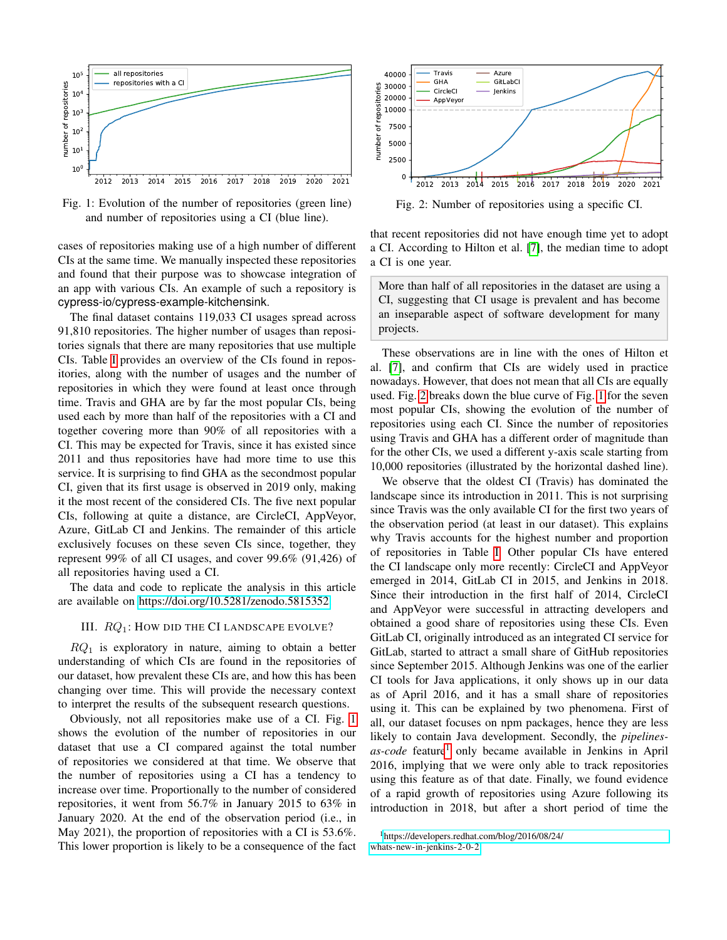<span id="page-2-1"></span>

Fig. 1: Evolution of the number of repositories (green line) and number of repositories using a CI (blue line).

cases of repositories making use of a high number of different CIs at the same time. We manually inspected these repositories and found that their purpose was to showcase integration of an app with various CIs. An example of such a repository is cypress-io/cypress-example-kitchensink.

The final dataset contains 119,033 CI usages spread across 91,810 repositories. The higher number of usages than repositories signals that there are many repositories that use multiple CIs. Table [I](#page-1-0) provides an overview of the CIs found in repositories, along with the number of usages and the number of repositories in which they were found at least once through time. Travis and GHA are by far the most popular CIs, being used each by more than half of the repositories with a CI and together covering more than 90% of all repositories with a CI. This may be expected for Travis, since it has existed since 2011 and thus repositories have had more time to use this service. It is surprising to find GHA as the secondmost popular CI, given that its first usage is observed in 2019 only, making it the most recent of the considered CIs. The five next popular CIs, following at quite a distance, are CircleCI, AppVeyor, Azure, GitLab CI and Jenkins. The remainder of this article exclusively focuses on these seven CIs since, together, they represent 99% of all CI usages, and cover 99.6% (91,426) of all repositories having used a CI.

The data and code to replicate the analysis in this article are available on [https://doi.org/10.5281/zenodo.5815352.](https://doi.org/10.5281/zenodo.5815352)

## <span id="page-2-0"></span>III.  $RQ_1$ : How did the CI LANDSCAPE EVOLVE?

 $RQ_1$  is exploratory in nature, aiming to obtain a better understanding of which CIs are found in the repositories of our dataset, how prevalent these CIs are, and how this has been changing over time. This will provide the necessary context to interpret the results of the subsequent research questions.

Obviously, not all repositories make use of a CI. Fig. [1](#page-2-1) shows the evolution of the number of repositories in our dataset that use a CI compared against the total number of repositories we considered at that time. We observe that the number of repositories using a CI has a tendency to increase over time. Proportionally to the number of considered repositories, it went from 56.7% in January 2015 to 63% in January 2020. At the end of the observation period (i.e., in May 2021), the proportion of repositories with a CI is 53.6%. This lower proportion is likely to be a consequence of the fact

<span id="page-2-2"></span>

Fig. 2: Number of repositories using a specific CI.

that recent repositories did not have enough time yet to adopt a CI. According to Hilton et al. [\[7\]](#page-10-6), the median time to adopt a CI is one year.

More than half of all repositories in the dataset are using a CI, suggesting that CI usage is prevalent and has become an inseparable aspect of software development for many projects.

These observations are in line with the ones of Hilton et al. [\[7\]](#page-10-6), and confirm that CIs are widely used in practice nowadays. However, that does not mean that all CIs are equally used. Fig. [2](#page-2-2) breaks down the blue curve of Fig. [1](#page-2-1) for the seven most popular CIs, showing the evolution of the number of repositories using each CI. Since the number of repositories using Travis and GHA has a different order of magnitude than for the other CIs, we used a different y-axis scale starting from 10,000 repositories (illustrated by the horizontal dashed line).

We observe that the oldest CI (Travis) has dominated the landscape since its introduction in 2011. This is not surprising since Travis was the only available CI for the first two years of the observation period (at least in our dataset). This explains why Travis accounts for the highest number and proportion of repositories in Table [I.](#page-1-0) Other popular CIs have entered the CI landscape only more recently: CircleCI and AppVeyor emerged in 2014, GitLab CI in 2015, and Jenkins in 2018. Since their introduction in the first half of 2014, CircleCI and AppVeyor were successful in attracting developers and obtained a good share of repositories using these CIs. Even GitLab CI, originally introduced as an integrated CI service for GitLab, started to attract a small share of GitHub repositories since September 2015. Although Jenkins was one of the earlier CI tools for Java applications, it only shows up in our data as of April 2016, and it has a small share of repositories using it. This can be explained by two phenomena. First of all, our dataset focuses on npm packages, hence they are less likely to contain Java development. Secondly, the *pipelines-*as-code feature<sup>[1](#page-2-3)</sup> only became available in Jenkins in April 2016, implying that we were only able to track repositories using this feature as of that date. Finally, we found evidence of a rapid growth of repositories using Azure following its introduction in 2018, but after a short period of time the

<span id="page-2-3"></span><sup>1</sup>[https://developers.redhat.com/blog/2016/08/24/](https://developers.redhat.com/blog/2016/08/24/whats-new-in-jenkins-2-0-2) [whats-new-in-jenkins-2-0-2](https://developers.redhat.com/blog/2016/08/24/whats-new-in-jenkins-2-0-2)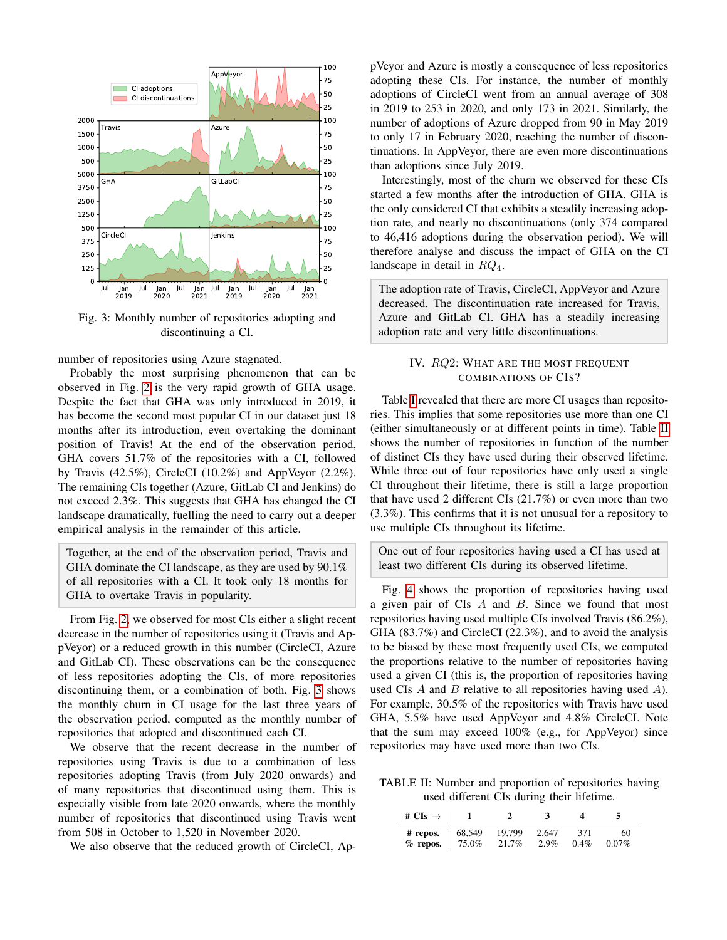<span id="page-3-0"></span>

Fig. 3: Monthly number of repositories adopting and discontinuing a CI.

number of repositories using Azure stagnated.

Probably the most surprising phenomenon that can be observed in Fig. [2](#page-2-2) is the very rapid growth of GHA usage. Despite the fact that GHA was only introduced in 2019, it has become the second most popular CI in our dataset just 18 months after its introduction, even overtaking the dominant position of Travis! At the end of the observation period, GHA covers 51.7% of the repositories with a CI, followed by Travis (42.5%), CircleCI (10.2%) and AppVeyor (2.2%). The remaining CIs together (Azure, GitLab CI and Jenkins) do not exceed 2.3%. This suggests that GHA has changed the CI landscape dramatically, fuelling the need to carry out a deeper empirical analysis in the remainder of this article.

Together, at the end of the observation period, Travis and GHA dominate the CI landscape, as they are used by 90.1% of all repositories with a CI. It took only 18 months for GHA to overtake Travis in popularity.

From Fig. [2,](#page-2-2) we observed for most CIs either a slight recent decrease in the number of repositories using it (Travis and AppVeyor) or a reduced growth in this number (CircleCI, Azure and GitLab CI). These observations can be the consequence of less repositories adopting the CIs, of more repositories discontinuing them, or a combination of both. Fig. [3](#page-3-0) shows the monthly churn in CI usage for the last three years of the observation period, computed as the monthly number of repositories that adopted and discontinued each CI.

We observe that the recent decrease in the number of repositories using Travis is due to a combination of less repositories adopting Travis (from July 2020 onwards) and of many repositories that discontinued using them. This is especially visible from late 2020 onwards, where the monthly number of repositories that discontinued using Travis went from 508 in October to 1,520 in November 2020.

We also observe that the reduced growth of CircleCI, Ap-

pVeyor and Azure is mostly a consequence of less repositories adopting these CIs. For instance, the number of monthly adoptions of CircleCI went from an annual average of 308 in 2019 to 253 in 2020, and only 173 in 2021. Similarly, the number of adoptions of Azure dropped from 90 in May 2019 to only 17 in February 2020, reaching the number of discontinuations. In AppVeyor, there are even more discontinuations than adoptions since July 2019.

Interestingly, most of the churn we observed for these CIs started a few months after the introduction of GHA. GHA is the only considered CI that exhibits a steadily increasing adoption rate, and nearly no discontinuations (only 374 compared to 46,416 adoptions during the observation period). We will therefore analyse and discuss the impact of GHA on the CI landscape in detail in  $RQ_4$ .

The adoption rate of Travis, CircleCI, AppVeyor and Azure decreased. The discontinuation rate increased for Travis, Azure and GitLab CI. GHA has a steadily increasing adoption rate and very little discontinuations.

# IV. RQ2: WHAT ARE THE MOST FREQUENT COMBINATIONS OF CIS?

Table [I](#page-1-0) revealed that there are more CI usages than repositories. This implies that some repositories use more than one CI (either simultaneously or at different points in time). Table [II](#page-3-1) shows the number of repositories in function of the number of distinct CIs they have used during their observed lifetime. While three out of four repositories have only used a single CI throughout their lifetime, there is still a large proportion that have used 2 different CIs (21.7%) or even more than two (3.3%). This confirms that it is not unusual for a repository to use multiple CIs throughout its lifetime.

One out of four repositories having used a CI has used at least two different CIs during its observed lifetime.

Fig. [4](#page-4-0) shows the proportion of repositories having used a given pair of CIs A and B. Since we found that most repositories having used multiple CIs involved Travis (86.2%), GHA (83.7%) and CircleCI (22.3%), and to avoid the analysis to be biased by these most frequently used CIs, we computed the proportions relative to the number of repositories having used a given CI (this is, the proportion of repositories having used CIs A and B relative to all repositories having used A). For example, 30.5% of the repositories with Travis have used GHA, 5.5% have used AppVeyor and 4.8% CircleCI. Note that the sum may exceed 100% (e.g., for AppVeyor) since repositories may have used more than two CIs.

<span id="page-3-1"></span>TABLE II: Number and proportion of repositories having used different CIs during their lifetime.

| # $CIs \rightarrow \begin{array}{cc} 1 \end{array}$                               |       |                  |                  |             |
|-----------------------------------------------------------------------------------|-------|------------------|------------------|-------------|
| # repos. $\begin{array}{cccc} 68,549 & 19,799 \end{array}$<br>% repos.   $75.0\%$ | 21.7% | 2.647<br>$2.9\%$ | - 371<br>$0.4\%$ | 60<br>0.07% |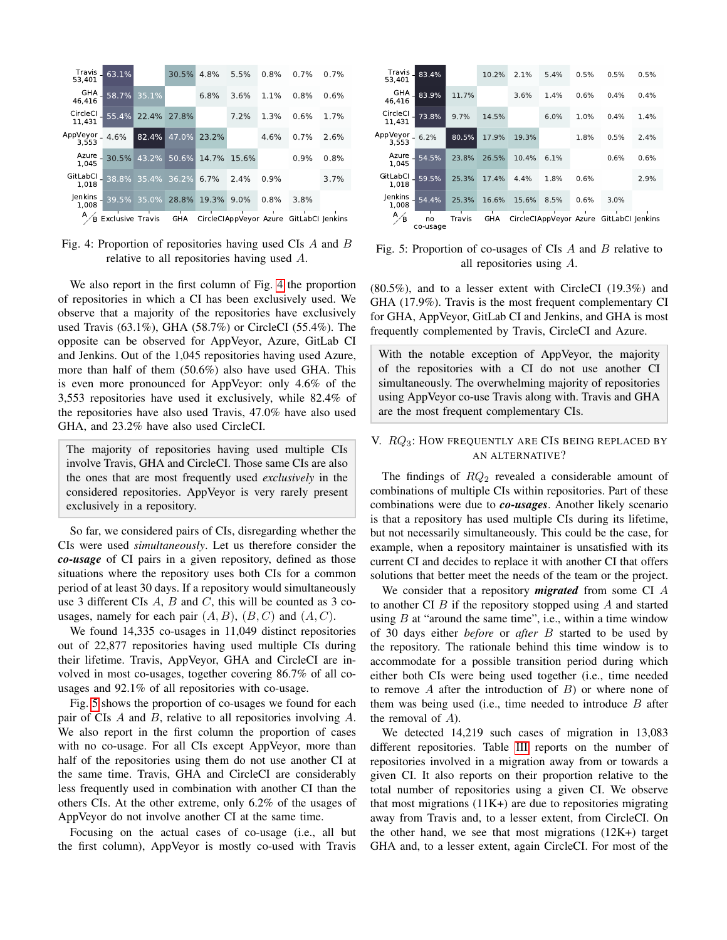<span id="page-4-0"></span>

Fig. 4: Proportion of repositories having used CIs A and B relative to all repositories having used A.

We also report in the first column of Fig. [4](#page-4-0) the proportion of repositories in which a CI has been exclusively used. We observe that a majority of the repositories have exclusively used Travis (63.1%), GHA (58.7%) or CircleCI (55.4%). The opposite can be observed for AppVeyor, Azure, GitLab CI and Jenkins. Out of the 1,045 repositories having used Azure, more than half of them (50.6%) also have used GHA. This is even more pronounced for AppVeyor: only 4.6% of the 3,553 repositories have used it exclusively, while 82.4% of the repositories have also used Travis, 47.0% have also used GHA, and 23.2% have also used CircleCI.

The majority of repositories having used multiple CIs involve Travis, GHA and CircleCI. Those same CIs are also the ones that are most frequently used *exclusively* in the considered repositories. AppVeyor is very rarely present exclusively in a repository.

So far, we considered pairs of CIs, disregarding whether the CIs were used *simultaneously*. Let us therefore consider the *co-usage* of CI pairs in a given repository, defined as those situations where the repository uses both CIs for a common period of at least 30 days. If a repository would simultaneously use 3 different CIs  $A$ ,  $B$  and  $C$ , this will be counted as 3 cousages, namely for each pair  $(A, B)$ ,  $(B, C)$  and  $(A, C)$ .

We found 14,335 co-usages in 11,049 distinct repositories out of 22,877 repositories having used multiple CIs during their lifetime. Travis, AppVeyor, GHA and CircleCI are involved in most co-usages, together covering 86.7% of all cousages and 92.1% of all repositories with co-usage.

Fig. [5](#page-4-1) shows the proportion of co-usages we found for each pair of CIs A and B, relative to all repositories involving A. We also report in the first column the proportion of cases with no co-usage. For all CIs except AppVeyor, more than half of the repositories using them do not use another CI at the same time. Travis, GHA and CircleCI are considerably less frequently used in combination with another CI than the others CIs. At the other extreme, only 6.2% of the usages of AppVeyor do not involve another CI at the same time.

Focusing on the actual cases of co-usage (i.e., all but the first column), AppVeyor is mostly co-used with Travis

<span id="page-4-1"></span>

| Travis<br>53.401        | 83.4%          |        | 10.2% | 2.1%  | 5.4% | 0.5% | 0.5%                                    | 0.5% |
|-------------------------|----------------|--------|-------|-------|------|------|-----------------------------------------|------|
| GHA<br>46.416           | 83.9%          | 11.7%  |       | 3.6%  | 1.4% | 0.6% | 0.4%                                    | 0.4% |
| CircleCl<br>11,431      | 73.8%          | 9.7%   | 14.5% |       | 6.0% | 1.0% | 0.4%                                    | 1.4% |
| AppVeyor_<br>3,553      | 6.2%           | 80.5%  | 17.9% | 19.3% |      | 1.8% | 0.5%                                    | 2.4% |
| Azure<br>1.045          | 54.5%          | 23.8%  | 26.5% | 10.4% | 6.1% |      | 0.6%                                    | 0.6% |
| GitLabCl<br>1.018       | 59.5%          | 25.3%  | 17.4% | 4.4%  | 1.8% | 0.6% |                                         | 2.9% |
| <b>Jenkins</b><br>1.008 | 54.4%          | 25.3%  | 16.6% | 15.6% | 8.5% | 0.6% | 3.0%                                    |      |
| A<br>B                  | no<br>co-usage | Travis | GHA   |       |      |      | CircleCIAppVeyor Azure GitLabCI Jenkins |      |

Fig. 5: Proportion of co-usages of CIs  $A$  and  $B$  relative to all repositories using A.

(80.5%), and to a lesser extent with CircleCI (19.3%) and GHA (17.9%). Travis is the most frequent complementary CI for GHA, AppVeyor, GitLab CI and Jenkins, and GHA is most frequently complemented by Travis, CircleCI and Azure.

With the notable exception of AppVeyor, the majority of the repositories with a CI do not use another CI simultaneously. The overwhelming majority of repositories using AppVeyor co-use Travis along with. Travis and GHA are the most frequent complementary CIs.

# V.  $RQ_3$ : HOW FREQUENTLY ARE CIS BEING REPLACED BY AN ALTERNATIVE?

The findings of  $RQ_2$  revealed a considerable amount of combinations of multiple CIs within repositories. Part of these combinations were due to *co-usages*. Another likely scenario is that a repository has used multiple CIs during its lifetime, but not necessarily simultaneously. This could be the case, for example, when a repository maintainer is unsatisfied with its current CI and decides to replace it with another CI that offers solutions that better meet the needs of the team or the project.

We consider that a repository *migrated* from some CI A to another CI  $B$  if the repository stopped using  $A$  and started using  $B$  at "around the same time", i.e., within a time window of 30 days either *before* or *after* B started to be used by the repository. The rationale behind this time window is to accommodate for a possible transition period during which either both CIs were being used together (i.e., time needed to remove  $A$  after the introduction of  $B$ ) or where none of them was being used (i.e., time needed to introduce  $B$  after the removal of A).

We detected 14,219 such cases of migration in 13,083 different repositories. Table [III](#page-5-1) reports on the number of repositories involved in a migration away from or towards a given CI. It also reports on their proportion relative to the total number of repositories using a given CI. We observe that most migrations  $(11K+)$  are due to repositories migrating away from Travis and, to a lesser extent, from CircleCI. On the other hand, we see that most migrations (12K+) target GHA and, to a lesser extent, again CircleCI. For most of the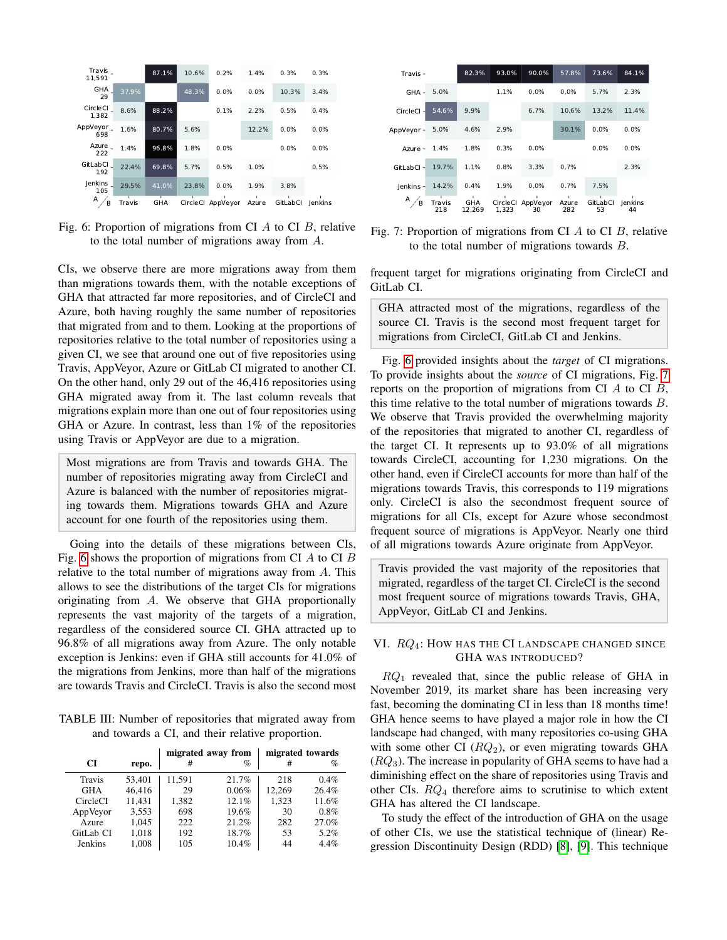<span id="page-5-2"></span>

Fig. 6: Proportion of migrations from CI  $A$  to CI  $B$ , relative to the total number of migrations away from A.

CIs, we observe there are more migrations away from them than migrations towards them, with the notable exceptions of GHA that attracted far more repositories, and of CircleCI and Azure, both having roughly the same number of repositories that migrated from and to them. Looking at the proportions of repositories relative to the total number of repositories using a given CI, we see that around one out of five repositories using Travis, AppVeyor, Azure or GitLab CI migrated to another CI. On the other hand, only 29 out of the 46,416 repositories using GHA migrated away from it. The last column reveals that migrations explain more than one out of four repositories using GHA or Azure. In contrast, less than 1% of the repositories using Travis or AppVeyor are due to a migration.

Most migrations are from Travis and towards GHA. The number of repositories migrating away from CircleCI and Azure is balanced with the number of repositories migrating towards them. Migrations towards GHA and Azure account for one fourth of the repositories using them.

Going into the details of these migrations between CIs, Fig. [6](#page-5-2) shows the proportion of migrations from CI  $\dot{A}$  to CI  $\dot{B}$ relative to the total number of migrations away from  $A$ . This allows to see the distributions of the target CIs for migrations originating from A. We observe that GHA proportionally represents the vast majority of the targets of a migration, regardless of the considered source CI. GHA attracted up to 96.8% of all migrations away from Azure. The only notable exception is Jenkins: even if GHA still accounts for 41.0% of the migrations from Jenkins, more than half of the migrations are towards Travis and CircleCI. Travis is also the second most

<span id="page-5-1"></span>TABLE III: Number of repositories that migrated away from and towards a CI, and their relative proportion.

|                 |        |        | migrated away from | migrated towards |       |
|-----------------|--------|--------|--------------------|------------------|-------|
| CI              | repo.  | #      | %                  | #                | $\%$  |
| Travis          | 53,401 | 11,591 | 21.7%              | 218              | 0.4%  |
| <b>GHA</b>      | 46.416 | 29     | 0.06%              | 12.269           | 26.4% |
| <b>CircleCI</b> | 11.431 | 1,382  | 12.1%              | 1,323            | 11.6% |
| AppVeyor        | 3,553  | 698    | 19.6%              | 30               | 0.8%  |
| Azure           | 1.045  | 222    | 21.2%              | 282              | 27.0% |
| GitLab CI       | 1,018  | 192    | 18.7%              | 53               | 5.2%  |
| <b>Jenkins</b>  | 1,008  | 105    | 10.4%              | 44               | 4.4%  |

<span id="page-5-3"></span>

| Travis-    |               | 82.3%                     | 93.0%             | 90.0%          | 57.8%             | 73.6%          | 84.1%         |
|------------|---------------|---------------------------|-------------------|----------------|-------------------|----------------|---------------|
| GHA-       | 5.0%          |                           | 1.1%              | 0.0%           | 0.0%              | 5.7%           | 2.3%          |
| CircleCl-  | 54.6%         | 9.9%                      |                   | 6.7%           | 10.6%             | 13.2%          | 11.4%         |
| AppVeyor - | 5.0%          | 4.6%                      | 2.9%              |                | 30.1%             | 0.0%           | $0.0\%$       |
| Azure -    | 1.4%          | 1.8%                      | 0.3%              | 0.0%           |                   | $0.0\%$        | $0.0\%$       |
| GitLabCl-  | 19.7%         | 1.1%                      | 0.8%              | 3.3%           | 0.7%              |                | 2.3%          |
| lenkins -  | 14.2%         | 0.4%                      | 1.9%              | 0.0%           | 0.7%              | 7.5%           |               |
| А<br>B     | Travis<br>218 | ٠<br><b>GHA</b><br>12.269 | CircleCl<br>1.323 | AppVeyor<br>30 | ٠<br>Azure<br>282 | GitLabCl<br>53 | lenkins<br>44 |

Fig. 7: Proportion of migrations from CI A to CI B, relative to the total number of migrations towards B.

frequent target for migrations originating from CircleCI and GitLab CI.

GHA attracted most of the migrations, regardless of the source CI. Travis is the second most frequent target for migrations from CircleCI, GitLab CI and Jenkins.

Fig. [6](#page-5-2) provided insights about the *target* of CI migrations. To provide insights about the *source* of CI migrations, Fig. [7](#page-5-3) reports on the proportion of migrations from CI  $A$  to CI  $B$ , this time relative to the total number of migrations towards  $B$ . We observe that Travis provided the overwhelming majority of the repositories that migrated to another CI, regardless of the target CI. It represents up to 93.0% of all migrations towards CircleCI, accounting for 1,230 migrations. On the other hand, even if CircleCI accounts for more than half of the migrations towards Travis, this corresponds to 119 migrations only. CircleCI is also the secondmost frequent source of migrations for all CIs, except for Azure whose secondmost frequent source of migrations is AppVeyor. Nearly one third of all migrations towards Azure originate from AppVeyor.

Travis provided the vast majority of the repositories that migrated, regardless of the target CI. CircleCI is the second most frequent source of migrations towards Travis, GHA, AppVeyor, GitLab CI and Jenkins.

# <span id="page-5-0"></span>VI.  $RQ_4$ : How has the CI Landscape changed since GHA WAS INTRODUCED?

 $RQ_1$  revealed that, since the public release of GHA in November 2019, its market share has been increasing very fast, becoming the dominating CI in less than 18 months time! GHA hence seems to have played a major role in how the CI landscape had changed, with many repositories co-using GHA with some other CI  $(RQ_2)$ , or even migrating towards GHA  $(RQ<sub>3</sub>)$ . The increase in popularity of GHA seems to have had a diminishing effect on the share of repositories using Travis and other CIs. RQ<sup>4</sup> therefore aims to scrutinise to which extent GHA has altered the CI landscape.

To study the effect of the introduction of GHA on the usage of other CIs, we use the statistical technique of (linear) Regression Discontinuity Design (RDD) [\[8\]](#page-10-7), [\[9\]](#page-10-8). This technique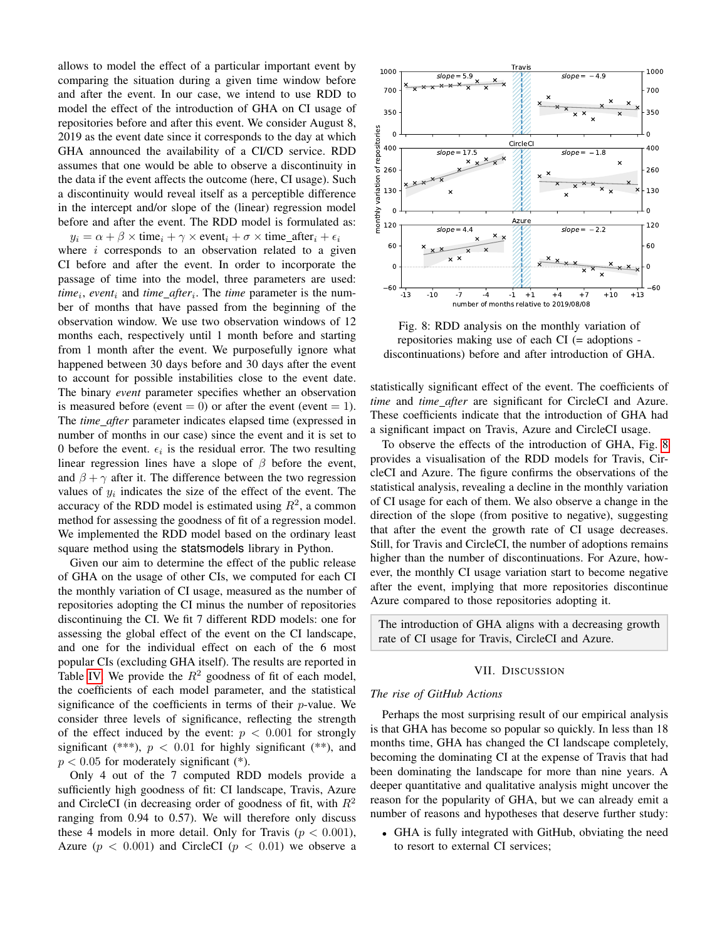allows to model the effect of a particular important event by comparing the situation during a given time window before and after the event. In our case, we intend to use RDD to model the effect of the introduction of GHA on CI usage of repositories before and after this event. We consider August 8, 2019 as the event date since it corresponds to the day at which GHA announced the availability of a CI/CD service. RDD assumes that one would be able to observe a discontinuity in the data if the event affects the outcome (here, CI usage). Such a discontinuity would reveal itself as a perceptible difference in the intercept and/or slope of the (linear) regression model before and after the event. The RDD model is formulated as:

 $y_i = \alpha + \beta \times \text{time}_i + \gamma \times \text{event}_i + \sigma \times \text{time}$  after<sub>i</sub> +  $\epsilon_i$ where  $i$  corresponds to an observation related to a given CI before and after the event. In order to incorporate the passage of time into the model, three parameters are used:  $time_i$ , *event<sub>i</sub>* and *time\_after<sub>i</sub>*. The *time* parameter is the number of months that have passed from the beginning of the observation window. We use two observation windows of 12 months each, respectively until 1 month before and starting from 1 month after the event. We purposefully ignore what happened between 30 days before and 30 days after the event to account for possible instabilities close to the event date. The binary *event* parameter specifies whether an observation is measured before (event  $= 0$ ) or after the event (event  $= 1$ ). The *time after* parameter indicates elapsed time (expressed in number of months in our case) since the event and it is set to 0 before the event.  $\epsilon_i$  is the residual error. The two resulting linear regression lines have a slope of  $\beta$  before the event, and  $\beta + \gamma$  after it. The difference between the two regression values of  $y_i$  indicates the size of the effect of the event. The accuracy of the RDD model is estimated using  $R^2$ , a common method for assessing the goodness of fit of a regression model. We implemented the RDD model based on the ordinary least square method using the statsmodels library in Python.

Given our aim to determine the effect of the public release of GHA on the usage of other CIs, we computed for each CI the monthly variation of CI usage, measured as the number of repositories adopting the CI minus the number of repositories discontinuing the CI. We fit 7 different RDD models: one for assessing the global effect of the event on the CI landscape, and one for the individual effect on each of the 6 most popular CIs (excluding GHA itself). The results are reported in Table [IV.](#page-7-0) We provide the  $R^2$  goodness of fit of each model, the coefficients of each model parameter, and the statistical significance of the coefficients in terms of their  $p$ -value. We consider three levels of significance, reflecting the strength of the effect induced by the event:  $p < 0.001$  for strongly significant (\*\*\*),  $p < 0.01$  for highly significant (\*\*), and  $p < 0.05$  for moderately significant  $(*)$ .

Only 4 out of the 7 computed RDD models provide a sufficiently high goodness of fit: CI landscape, Travis, Azure and CircleCI (in decreasing order of goodness of fit, with  $R^2$ ranging from 0.94 to 0.57). We will therefore only discuss these 4 models in more detail. Only for Travis ( $p < 0.001$ ), Azure ( $p < 0.001$ ) and CircleCI ( $p < 0.01$ ) we observe a

<span id="page-6-1"></span>

Fig. 8: RDD analysis on the monthly variation of repositories making use of each CI (= adoptions discontinuations) before and after introduction of GHA.

statistically significant effect of the event. The coefficients of *time* and *time after* are significant for CircleCI and Azure. These coefficients indicate that the introduction of GHA had a significant impact on Travis, Azure and CircleCI usage.

To observe the effects of the introduction of GHA, Fig. [8](#page-6-1) provides a visualisation of the RDD models for Travis, CircleCI and Azure. The figure confirms the observations of the statistical analysis, revealing a decline in the monthly variation of CI usage for each of them. We also observe a change in the direction of the slope (from positive to negative), suggesting that after the event the growth rate of CI usage decreases. Still, for Travis and CircleCI, the number of adoptions remains higher than the number of discontinuations. For Azure, however, the monthly CI usage variation start to become negative after the event, implying that more repositories discontinue Azure compared to those repositories adopting it.

The introduction of GHA aligns with a decreasing growth rate of CI usage for Travis, CircleCI and Azure.

#### VII. DISCUSSION

#### <span id="page-6-0"></span>*The rise of GitHub Actions*

Perhaps the most surprising result of our empirical analysis is that GHA has become so popular so quickly. In less than 18 months time, GHA has changed the CI landscape completely, becoming the dominating CI at the expense of Travis that had been dominating the landscape for more than nine years. A deeper quantitative and qualitative analysis might uncover the reason for the popularity of GHA, but we can already emit a number of reasons and hypotheses that deserve further study:

• GHA is fully integrated with GitHub, obviating the need to resort to external CI services;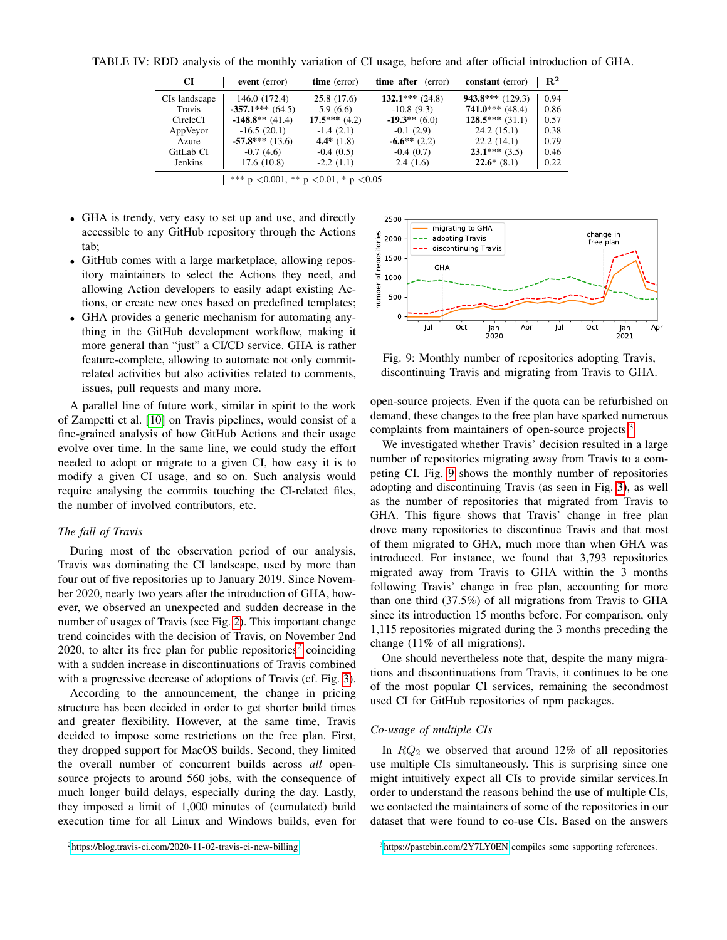|               |                    |                 | <u>19 i'l ito o' mimijono of the filohumij 'minuton' of the monge; oefore mite there film otherwich of</u> |                         |                |
|---------------|--------------------|-----------------|------------------------------------------------------------------------------------------------------------|-------------------------|----------------|
| CI            | event (error)      | time (error)    | <b>time after</b> (error)                                                                                  | <b>constant</b> (error) | $\mathbb{R}^2$ |
| CIs landscape | 146.0 (172.4)      | 25.8 (17.6)     | $132.1***$ (24.8)                                                                                          | $943.8***$ (129.3)      | 0.94           |
| Travis        | $-357.1***$ (64.5) | 5.9(6.6)        | $-10.8(9.3)$                                                                                               | $741.0***$ (48.4)       | 0.86           |
| CircleCI      | $-148.8**$ (41.4)  | $17.5***$ (4.2) | $-19.3**$ (6.0)                                                                                            | $128.5***(31.1)$        | 0.57           |
| AppVeyor      | $-16.5(20.1)$      | $-1.4(2.1)$     | $-0.1(2.9)$                                                                                                | 24.2(15.1)              | 0.38           |
| Azure         | $-57.8***$ (13.6)  | 4.4* $(1.8)$    | $-6.6**$ (2.2)                                                                                             | 22.2(14.1)              | 0.79           |
| GitLab CI     | $-0.7(4.6)$        | $-0.4(0.5)$     | $-0.4(0.7)$                                                                                                | $23.1***(3.5)$          | 0.46           |
| Jenkins       | 17.6(10.8)         | $-2.2(1.1)$     | 2.4(1.6)                                                                                                   | $22.6*(8.1)$            | 0.22           |

<span id="page-7-0"></span>TABLE IV: RDD analysis of the monthly variation of CI usage, before and after official introduction of GHA.

- GHA is trendy, very easy to set up and use, and directly accessible to any GitHub repository through the Actions tab;
- GitHub comes with a large marketplace, allowing repository maintainers to select the Actions they need, and allowing Action developers to easily adapt existing Actions, or create new ones based on predefined templates;
- GHA provides a generic mechanism for automating anything in the GitHub development workflow, making it more general than "just" a CI/CD service. GHA is rather feature-complete, allowing to automate not only commitrelated activities but also activities related to comments, issues, pull requests and many more.

A parallel line of future work, similar in spirit to the work of Zampetti et al. [\[10\]](#page-10-9) on Travis pipelines, would consist of a fine-grained analysis of how GitHub Actions and their usage evolve over time. In the same line, we could study the effort needed to adopt or migrate to a given CI, how easy it is to modify a given CI usage, and so on. Such analysis would require analysing the commits touching the CI-related files, the number of involved contributors, etc.

## *The fall of Travis*

During most of the observation period of our analysis, Travis was dominating the CI landscape, used by more than four out of five repositories up to January 2019. Since November 2020, nearly two years after the introduction of GHA, however, we observed an unexpected and sudden decrease in the number of usages of Travis (see Fig. [2\)](#page-2-2). This important change trend coincides with the decision of Travis, on November 2nd [2](#page-7-1)020, to alter its free plan for public repositories<sup>2</sup> coinciding with a sudden increase in discontinuations of Travis combined with a progressive decrease of adoptions of Travis (cf. Fig. [3\)](#page-3-0).

According to the announcement, the change in pricing structure has been decided in order to get shorter build times and greater flexibility. However, at the same time, Travis decided to impose some restrictions on the free plan. First, they dropped support for MacOS builds. Second, they limited the overall number of concurrent builds across *all* opensource projects to around 560 jobs, with the consequence of much longer build delays, especially during the day. Lastly, they imposed a limit of 1,000 minutes of (cumulated) build execution time for all Linux and Windows builds, even for

<span id="page-7-3"></span>

Fig. 9: Monthly number of repositories adopting Travis, discontinuing Travis and migrating from Travis to GHA.

open-source projects. Even if the quota can be refurbished on demand, these changes to the free plan have sparked numerous complaints from maintainers of open-source projects.<sup>[3](#page-7-2)</sup>

We investigated whether Travis' decision resulted in a large number of repositories migrating away from Travis to a competing CI. Fig. [9](#page-7-3) shows the monthly number of repositories adopting and discontinuing Travis (as seen in Fig. [3\)](#page-3-0), as well as the number of repositories that migrated from Travis to GHA. This figure shows that Travis' change in free plan drove many repositories to discontinue Travis and that most of them migrated to GHA, much more than when GHA was introduced. For instance, we found that 3,793 repositories migrated away from Travis to GHA within the 3 months following Travis' change in free plan, accounting for more than one third (37.5%) of all migrations from Travis to GHA since its introduction 15 months before. For comparison, only 1,115 repositories migrated during the 3 months preceding the change (11% of all migrations).

One should nevertheless note that, despite the many migrations and discontinuations from Travis, it continues to be one of the most popular CI services, remaining the secondmost used CI for GitHub repositories of npm packages.

# *Co-usage of multiple CIs*

In  $RQ_2$  we observed that around 12% of all repositories use multiple CIs simultaneously. This is surprising since one might intuitively expect all CIs to provide similar services.In order to understand the reasons behind the use of multiple CIs, we contacted the maintainers of some of the repositories in our dataset that were found to co-use CIs. Based on the answers

<sup>\*\*\*</sup> p < 0.001, \*\* p < 0.01, \* p < 0.05

<span id="page-7-1"></span><sup>2</sup><https://blog.travis-ci.com/2020-11-02-travis-ci-new-billing>

<span id="page-7-2"></span><sup>3</sup><https://pastebin.com/2Y7LY0EN> compiles some supporting references.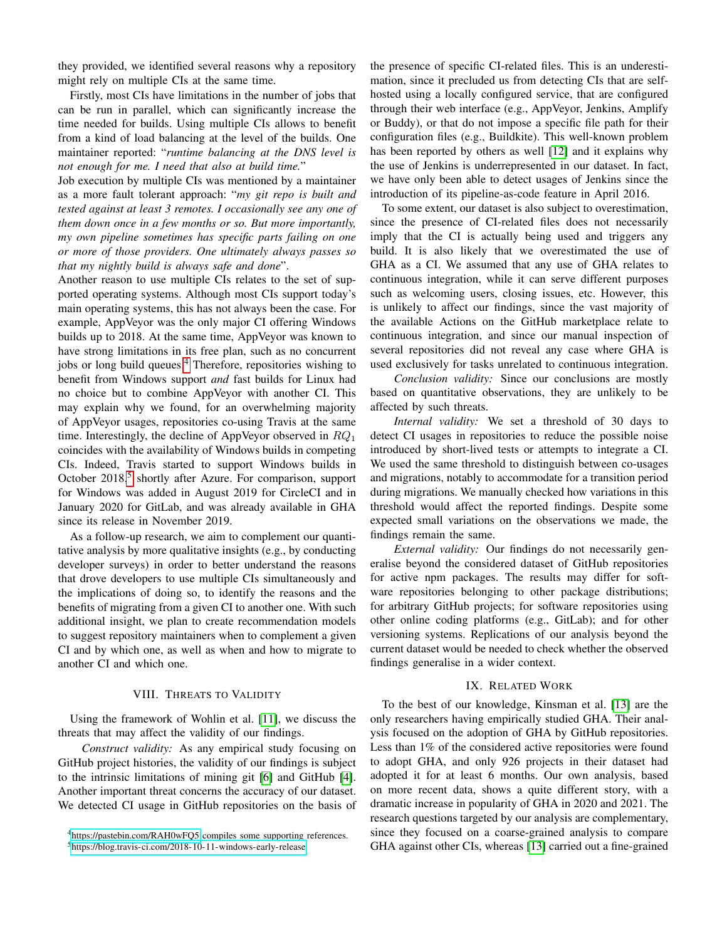they provided, we identified several reasons why a repository might rely on multiple CIs at the same time.

Firstly, most CIs have limitations in the number of jobs that can be run in parallel, which can significantly increase the time needed for builds. Using multiple CIs allows to benefit from a kind of load balancing at the level of the builds. One maintainer reported: "*runtime balancing at the DNS level is not enough for me. I need that also at build time.*"

Job execution by multiple CIs was mentioned by a maintainer as a more fault tolerant approach: "*my git repo is built and tested against at least 3 remotes. I occasionally see any one of them down once in a few months or so. But more importantly, my own pipeline sometimes has specific parts failing on one or more of those providers. One ultimately always passes so that my nightly build is always safe and done*".

Another reason to use multiple CIs relates to the set of supported operating systems. Although most CIs support today's main operating systems, this has not always been the case. For example, AppVeyor was the only major CI offering Windows builds up to 2018. At the same time, AppVeyor was known to have strong limitations in its free plan, such as no concurrent jobs or long build queues.<sup>[4](#page-8-2)</sup> Therefore, repositories wishing to benefit from Windows support *and* fast builds for Linux had no choice but to combine AppVeyor with another CI. This may explain why we found, for an overwhelming majority of AppVeyor usages, repositories co-using Travis at the same time. Interestingly, the decline of AppVeyor observed in  $RQ_1$ coincides with the availability of Windows builds in competing CIs. Indeed, Travis started to support Windows builds in October 2018,<sup>[5](#page-8-3)</sup> shortly after Azure. For comparison, support for Windows was added in August 2019 for CircleCI and in January 2020 for GitLab, and was already available in GHA since its release in November 2019.

As a follow-up research, we aim to complement our quantitative analysis by more qualitative insights (e.g., by conducting developer surveys) in order to better understand the reasons that drove developers to use multiple CIs simultaneously and the implications of doing so, to identify the reasons and the benefits of migrating from a given CI to another one. With such additional insight, we plan to create recommendation models to suggest repository maintainers when to complement a given CI and by which one, as well as when and how to migrate to another CI and which one.

## VIII. THREATS TO VALIDITY

<span id="page-8-0"></span>Using the framework of Wohlin et al. [\[11\]](#page-10-10), we discuss the threats that may affect the validity of our findings.

*Construct validity:* As any empirical study focusing on GitHub project histories, the validity of our findings is subject to the intrinsic limitations of mining git [\[6\]](#page-10-5) and GitHub [\[4\]](#page-10-3). Another important threat concerns the accuracy of our dataset. We detected CI usage in GitHub repositories on the basis of the presence of specific CI-related files. This is an underestimation, since it precluded us from detecting CIs that are selfhosted using a locally configured service, that are configured through their web interface (e.g., AppVeyor, Jenkins, Amplify or Buddy), or that do not impose a specific file path for their configuration files (e.g., Buildkite). This well-known problem has been reported by others as well [\[12\]](#page-10-11) and it explains why the use of Jenkins is underrepresented in our dataset. In fact, we have only been able to detect usages of Jenkins since the introduction of its pipeline-as-code feature in April 2016.

To some extent, our dataset is also subject to overestimation, since the presence of CI-related files does not necessarily imply that the CI is actually being used and triggers any build. It is also likely that we overestimated the use of GHA as a CI. We assumed that any use of GHA relates to continuous integration, while it can serve different purposes such as welcoming users, closing issues, etc. However, this is unlikely to affect our findings, since the vast majority of the available Actions on the GitHub marketplace relate to continuous integration, and since our manual inspection of several repositories did not reveal any case where GHA is used exclusively for tasks unrelated to continuous integration.

*Conclusion validity:* Since our conclusions are mostly based on quantitative observations, they are unlikely to be affected by such threats.

*Internal validity:* We set a threshold of 30 days to detect CI usages in repositories to reduce the possible noise introduced by short-lived tests or attempts to integrate a CI. We used the same threshold to distinguish between co-usages and migrations, notably to accommodate for a transition period during migrations. We manually checked how variations in this threshold would affect the reported findings. Despite some expected small variations on the observations we made, the findings remain the same.

*External validity:* Our findings do not necessarily generalise beyond the considered dataset of GitHub repositories for active npm packages. The results may differ for software repositories belonging to other package distributions; for arbitrary GitHub projects; for software repositories using other online coding platforms (e.g., GitLab); and for other versioning systems. Replications of our analysis beyond the current dataset would be needed to check whether the observed findings generalise in a wider context.

#### IX. RELATED WORK

<span id="page-8-1"></span>To the best of our knowledge, Kinsman et al. [\[13\]](#page-10-12) are the only researchers having empirically studied GHA. Their analysis focused on the adoption of GHA by GitHub repositories. Less than 1% of the considered active repositories were found to adopt GHA, and only 926 projects in their dataset had adopted it for at least 6 months. Our own analysis, based on more recent data, shows a quite different story, with a dramatic increase in popularity of GHA in 2020 and 2021. The research questions targeted by our analysis are complementary, since they focused on a coarse-grained analysis to compare GHA against other CIs, whereas [\[13\]](#page-10-12) carried out a fine-grained

<span id="page-8-2"></span><sup>4</sup><https://pastebin.com/RAH0wFQ5> compiles some supporting references.

<span id="page-8-3"></span><sup>5</sup><https://blog.travis-ci.com/2018-10-11-windows-early-release>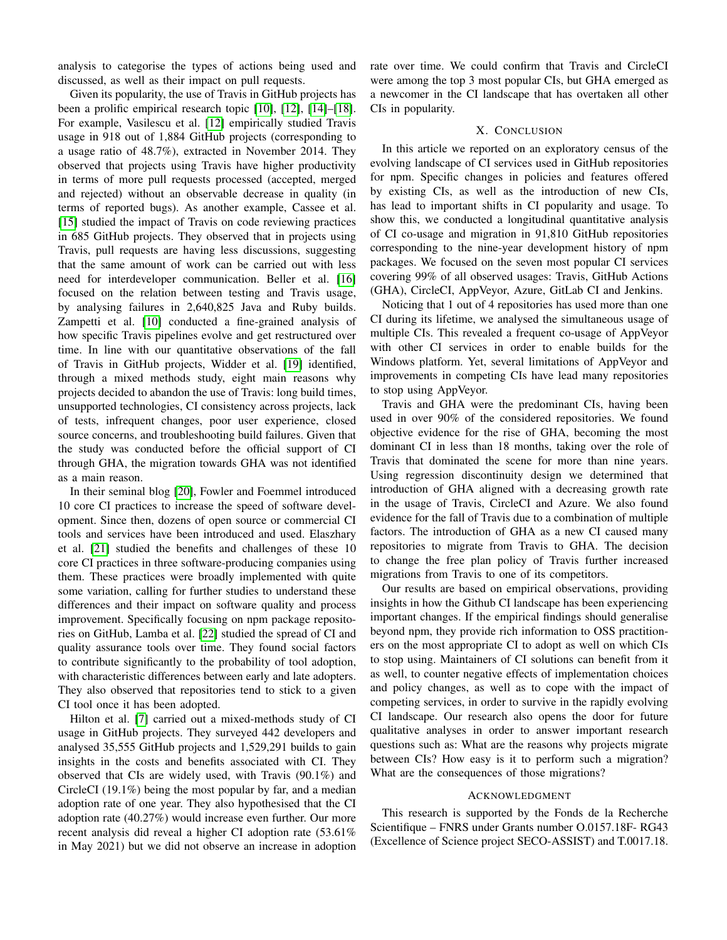analysis to categorise the types of actions being used and discussed, as well as their impact on pull requests.

Given its popularity, the use of Travis in GitHub projects has been a prolific empirical research topic [\[10\]](#page-10-9), [\[12\]](#page-10-11), [\[14\]](#page-10-13)–[\[18\]](#page-10-14). For example, Vasilescu et al. [\[12\]](#page-10-11) empirically studied Travis usage in 918 out of 1,884 GitHub projects (corresponding to a usage ratio of 48.7%), extracted in November 2014. They observed that projects using Travis have higher productivity in terms of more pull requests processed (accepted, merged and rejected) without an observable decrease in quality (in terms of reported bugs). As another example, Cassee et al. [\[15\]](#page-10-15) studied the impact of Travis on code reviewing practices in 685 GitHub projects. They observed that in projects using Travis, pull requests are having less discussions, suggesting that the same amount of work can be carried out with less need for interdeveloper communication. Beller et al. [\[16\]](#page-10-16) focused on the relation between testing and Travis usage, by analysing failures in 2,640,825 Java and Ruby builds. Zampetti et al. [\[10\]](#page-10-9) conducted a fine-grained analysis of how specific Travis pipelines evolve and get restructured over time. In line with our quantitative observations of the fall of Travis in GitHub projects, Widder et al. [\[19\]](#page-10-17) identified, through a mixed methods study, eight main reasons why projects decided to abandon the use of Travis: long build times, unsupported technologies, CI consistency across projects, lack of tests, infrequent changes, poor user experience, closed source concerns, and troubleshooting build failures. Given that the study was conducted before the official support of CI through GHA, the migration towards GHA was not identified as a main reason.

In their seminal blog [\[20\]](#page-10-18), Fowler and Foemmel introduced 10 core CI practices to increase the speed of software development. Since then, dozens of open source or commercial CI tools and services have been introduced and used. Elaszhary et al. [\[21\]](#page-10-19) studied the benefits and challenges of these 10 core CI practices in three software-producing companies using them. These practices were broadly implemented with quite some variation, calling for further studies to understand these differences and their impact on software quality and process improvement. Specifically focusing on npm package repositories on GitHub, Lamba et al. [\[22\]](#page-10-20) studied the spread of CI and quality assurance tools over time. They found social factors to contribute significantly to the probability of tool adoption, with characteristic differences between early and late adopters. They also observed that repositories tend to stick to a given CI tool once it has been adopted.

Hilton et al. [\[7\]](#page-10-6) carried out a mixed-methods study of CI usage in GitHub projects. They surveyed 442 developers and analysed 35,555 GitHub projects and 1,529,291 builds to gain insights in the costs and benefits associated with CI. They observed that CIs are widely used, with Travis (90.1%) and CircleCI (19.1%) being the most popular by far, and a median adoption rate of one year. They also hypothesised that the CI adoption rate (40.27%) would increase even further. Our more recent analysis did reveal a higher CI adoption rate (53.61% in May 2021) but we did not observe an increase in adoption rate over time. We could confirm that Travis and CircleCI were among the top 3 most popular CIs, but GHA emerged as a newcomer in the CI landscape that has overtaken all other CIs in popularity.

#### X. CONCLUSION

<span id="page-9-0"></span>In this article we reported on an exploratory census of the evolving landscape of CI services used in GitHub repositories for npm. Specific changes in policies and features offered by existing CIs, as well as the introduction of new CIs, has lead to important shifts in CI popularity and usage. To show this, we conducted a longitudinal quantitative analysis of CI co-usage and migration in 91,810 GitHub repositories corresponding to the nine-year development history of npm packages. We focused on the seven most popular CI services covering 99% of all observed usages: Travis, GitHub Actions (GHA), CircleCI, AppVeyor, Azure, GitLab CI and Jenkins.

Noticing that 1 out of 4 repositories has used more than one CI during its lifetime, we analysed the simultaneous usage of multiple CIs. This revealed a frequent co-usage of AppVeyor with other CI services in order to enable builds for the Windows platform. Yet, several limitations of AppVeyor and improvements in competing CIs have lead many repositories to stop using AppVeyor.

Travis and GHA were the predominant CIs, having been used in over 90% of the considered repositories. We found objective evidence for the rise of GHA, becoming the most dominant CI in less than 18 months, taking over the role of Travis that dominated the scene for more than nine years. Using regression discontinuity design we determined that introduction of GHA aligned with a decreasing growth rate in the usage of Travis, CircleCI and Azure. We also found evidence for the fall of Travis due to a combination of multiple factors. The introduction of GHA as a new CI caused many repositories to migrate from Travis to GHA. The decision to change the free plan policy of Travis further increased migrations from Travis to one of its competitors.

Our results are based on empirical observations, providing insights in how the Github CI landscape has been experiencing important changes. If the empirical findings should generalise beyond npm, they provide rich information to OSS practitioners on the most appropriate CI to adopt as well on which CIs to stop using. Maintainers of CI solutions can benefit from it as well, to counter negative effects of implementation choices and policy changes, as well as to cope with the impact of competing services, in order to survive in the rapidly evolving CI landscape. Our research also opens the door for future qualitative analyses in order to answer important research questions such as: What are the reasons why projects migrate between CIs? How easy is it to perform such a migration? What are the consequences of those migrations?

## ACKNOWLEDGMENT

This research is supported by the Fonds de la Recherche Scientifique – FNRS under Grants number O.0157.18F- RG43 (Excellence of Science project SECO-ASSIST) and T.0017.18.